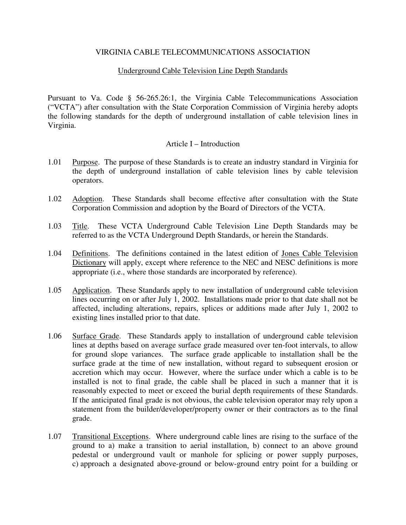## VIRGINIA CABLE TELECOMMUNICATIONS ASSOCIATION

## Underground Cable Television Line Depth Standards

Pursuant to Va. Code § 56-265.26:1, the Virginia Cable Telecommunications Association ("VCTA") after consultation with the State Corporation Commission of Virginia hereby adopts the following standards for the depth of underground installation of cable television lines in Virginia.

### Article I – Introduction

- 1.01 Purpose. The purpose of these Standards is to create an industry standard in Virginia for the depth of underground installation of cable television lines by cable television operators.
- 1.02 Adoption. These Standards shall become effective after consultation with the State Corporation Commission and adoption by the Board of Directors of the VCTA.
- 1.03 Title. These VCTA Underground Cable Television Line Depth Standards may be referred to as the VCTA Underground Depth Standards, or herein the Standards.
- 1.04 Definitions. The definitions contained in the latest edition of Jones Cable Television Dictionary will apply, except where reference to the NEC and NESC definitions is more appropriate (i.e., where those standards are incorporated by reference).
- 1.05 Application. These Standards apply to new installation of underground cable television lines occurring on or after July 1, 2002. Installations made prior to that date shall not be affected, including alterations, repairs, splices or additions made after July 1, 2002 to existing lines installed prior to that date.
- 1.06 Surface Grade. These Standards apply to installation of underground cable television lines at depths based on average surface grade measured over ten-foot intervals, to allow for ground slope variances. The surface grade applicable to installation shall be the surface grade at the time of new installation, without regard to subsequent erosion or accretion which may occur. However, where the surface under which a cable is to be installed is not to final grade, the cable shall be placed in such a manner that it is reasonably expected to meet or exceed the burial depth requirements of these Standards. If the anticipated final grade is not obvious, the cable television operator may rely upon a statement from the builder/developer/property owner or their contractors as to the final grade.
- 1.07 Transitional Exceptions. Where underground cable lines are rising to the surface of the ground to a) make a transition to aerial installation, b) connect to an above ground pedestal or underground vault or manhole for splicing or power supply purposes, c) approach a designated above-ground or below-ground entry point for a building or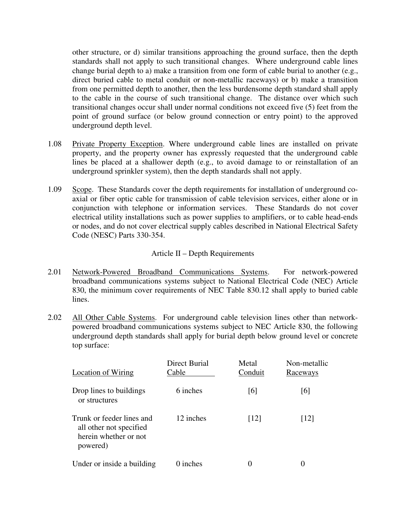other structure, or d) similar transitions approaching the ground surface, then the depth standards shall not apply to such transitional changes. Where underground cable lines change burial depth to a) make a transition from one form of cable burial to another (e.g., direct buried cable to metal conduit or non-metallic raceways) or b) make a transition from one permitted depth to another, then the less burdensome depth standard shall apply to the cable in the course of such transitional change. The distance over which such transitional changes occur shall under normal conditions not exceed five (5) feet from the point of ground surface (or below ground connection or entry point) to the approved underground depth level.

- 1.08 Private Property Exception. Where underground cable lines are installed on private property, and the property owner has expressly requested that the underground cable lines be placed at a shallower depth (e.g., to avoid damage to or reinstallation of an underground sprinkler system), then the depth standards shall not apply.
- 1.09 Scope. These Standards cover the depth requirements for installation of underground coaxial or fiber optic cable for transmission of cable television services, either alone or in conjunction with telephone or information services. These Standards do not cover electrical utility installations such as power supplies to amplifiers, or to cable head-ends or nodes, and do not cover electrical supply cables described in National Electrical Safety Code (NESC) Parts 330-354.

# Article II – Depth Requirements

- 2.01 Network-Powered Broadband Communications Systems. For network-powered broadband communications systems subject to National Electrical Code (NEC) Article 830, the minimum cover requirements of NEC Table 830.12 shall apply to buried cable lines.
- 2.02 All Other Cable Systems. For underground cable television lines other than networkpowered broadband communications systems subject to NEC Article 830, the following underground depth standards shall apply for burial depth below ground level or concrete top surface:

| Location of Wiring                                                                        | <b>Direct Burial</b><br>Cable | Metal<br>Conduit   | Non-metallic<br>Raceways |
|-------------------------------------------------------------------------------------------|-------------------------------|--------------------|--------------------------|
| Drop lines to buildings<br>or structures                                                  | 6 inches                      | [6]                | [6]                      |
| Trunk or feeder lines and<br>all other not specified<br>herein whether or not<br>powered) | 12 inches                     | $\lceil 12 \rceil$ | $\lceil 12 \rceil$       |
| Under or inside a building                                                                | 0 inches                      | 0                  | 0                        |